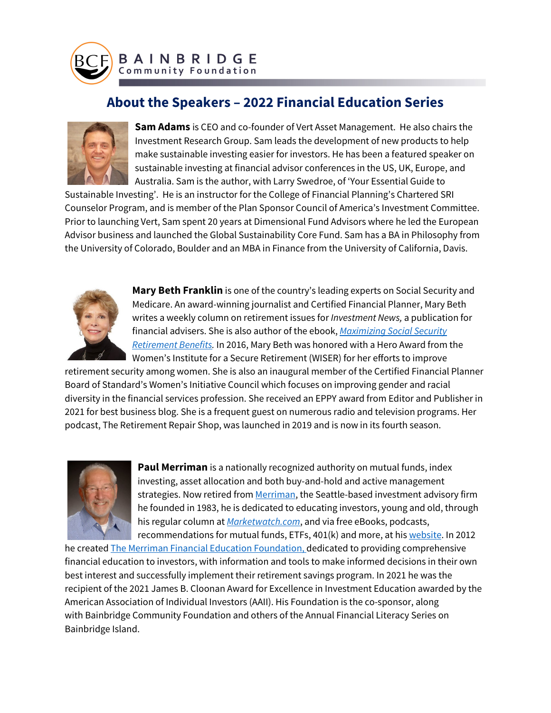

## **About the Speakers – 2022 Financial Education Series**



**Sam Adams** is CEO and co-founder of Vert Asset Management. He also chairs the Investment Research Group. Sam leads the development of new products to help make sustainable investing easier for investors. He has been a featured speaker on sustainable investing at financial advisor conferences in the US, UK, Europe, and Australia. Sam is the author, with Larry Swedroe, of 'Your Essential Guide to

Sustainable Investing'. He is an instructor for the College of Financial Planning's Chartered SRI Counselor Program, and is member of the Plan Sponsor Council of America's Investment Committee. Prior to launching Vert, Sam spent 20 years at Dimensional Fund Advisors where he led the European Advisor business and launched the Global Sustainability Core Fund. Sam has a BA in Philosophy from the University of Colorado, Boulder and an MBA in Finance from the University of California, Davis.



**Mary Beth Franklin** is one of the country's leading experts on Social Security and Medicare. An award-winning journalist and Certified Financial Planner, Mary Beth writes a weekly column on retirement issues for *Investment News,* a publication for financial advisers. She is also author of the ebook, *[Maximizing Social Security](http://www.maximingsocialsecuritybenefits.com/)  [Retirement Benefits.](http://www.maximingsocialsecuritybenefits.com/)* In 2016, Mary Beth was honored with a Hero Award from the Women's Institute for a Secure Retirement (WISER) for her efforts to improve

retirement security among women. She is also an inaugural member of the Certified Financial Planner Board of Standard's Women's Initiative Council which focuses on improving gender and racial diversity in the financial services profession. She received an EPPY award from Editor and Publisher in 2021 for best business blog. She is a frequent guest on numerous radio and television programs. Her podcast, The Retirement Repair Shop, was launched in 2019 and is now in its fourth season.



**Paul Merriman** is a nationally recognized authority on mutual funds, index investing, asset allocation and both buy-and-hold and active management strategies. Now retired from [Merriman,](http://merriman.com/) the Seattle-based investment advisory firm he founded in 1983, he is dedicated to educating investors, young and old, through his regular column at *[Marketwatch.com](https://marketwatch.com/)*, and via free eBooks, podcasts, recommendations for mutual funds, ETFs, 401(k) and more, at his [website.](https://paulmerriman.com/) In 2012

he created [The Merriman Financial Education Foundation,](http://www.merrimanfinancialeducation.org/) dedicated to providing comprehensive financial education to investors, with information and tools to make informed decisions in their own best interest and successfully implement their retirement savings program. In 2021 he was the recipient of the 2021 James B. Cloonan Award for Excellence in Investment Education awarded by the American Association of Individual Investors (AAII). His Foundation is the co-sponsor, along with Bainbridge Community Foundation and others of the Annual Financial Literacy Series on Bainbridge Island.